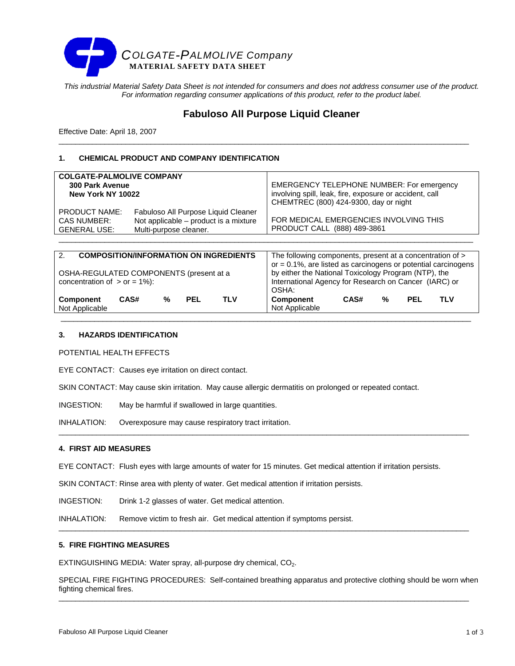

*This industrial Material Safety Data Sheet is not intended for consumers and does not address consumer use of the product. For information regarding consumer applications of this product, refer to the product label.* 

# **Fabuloso All Purpose Liquid Cleaner**

\_\_\_\_\_\_\_\_\_\_\_\_\_\_\_\_\_\_\_\_\_\_\_\_\_\_\_\_\_\_\_\_\_\_\_\_\_\_\_\_\_\_\_\_\_\_\_\_\_\_\_\_\_\_\_\_\_\_\_\_\_\_\_\_\_\_\_\_\_\_\_\_\_\_\_\_\_\_\_\_\_\_\_\_\_\_\_\_\_\_\_\_\_\_\_\_\_\_

Effective Date: April 18, 2007

# **1. CHEMICAL PRODUCT AND COMPANY IDENTIFICATION**

| <b>COLGATE-PALMOLIVE COMPANY</b>                                  |                                                                                                        | <b>EMERGENCY TELEPHONE NUMBER: For emergency</b>                      |
|-------------------------------------------------------------------|--------------------------------------------------------------------------------------------------------|-----------------------------------------------------------------------|
| <b>300 Park Avenue</b>                                            |                                                                                                        | involving spill, leak, fire, exposure or accident, call               |
| New York NY 10022                                                 |                                                                                                        | CHEMTREC (800) 424-9300, day or night                                 |
| <b>PRODUCT NAME:</b><br><b>CAS NUMBER:</b><br><b>GENERAL USE:</b> | Fabuloso All Purpose Liquid Cleaner<br>Not applicable - product is a mixture<br>Multi-purpose cleaner. | FOR MEDICAL EMERGENCIES INVOLVING THIS<br>PRODUCT CALL (888) 489-3861 |

| <b>COMPOSITION/INFORMATION ON INGREDIENTS</b><br>2. | The following components, present at a concentration of >         |
|-----------------------------------------------------|-------------------------------------------------------------------|
|                                                     | or $= 0.1\%$ , are listed as carcinogens or potential carcinogens |
| OSHA-REGULATED COMPONENTS (present at a             | by either the National Toxicology Program (NTP), the              |
| concentration of $>$ or = 1%):                      | International Agency for Research on Cancer (IARC) or             |
|                                                     | OSHA:                                                             |
| CAS#<br>PEL<br><b>TLV</b><br>%<br><b>Component</b>  | CAS#<br>Component<br>%<br><b>TLV</b><br><b>PEL</b>                |
| Not Applicable                                      | Not Applicable                                                    |

\_\_\_\_\_\_\_\_\_\_\_\_\_\_\_\_\_\_\_\_\_\_\_\_\_\_\_\_\_\_\_\_\_\_\_\_\_\_\_\_\_\_\_\_\_\_\_\_\_\_\_\_\_\_\_\_\_\_\_\_\_\_\_\_\_\_\_\_\_\_\_\_\_\_\_\_\_\_\_\_\_\_\_\_\_\_\_\_\_\_\_\_\_\_\_\_\_\_

# **3. HAZARDS IDENTIFICATION**

POTENTIAL HEALTH EFFECTS

EYE CONTACT: Causes eye irritation on direct contact.

SKIN CONTACT: May cause skin irritation. May cause allergic dermatitis on prolonged or repeated contact.

INGESTION: May be harmful if swallowed in large quantities.

INHALATION: Overexposure may cause respiratory tract irritation.

### **4. FIRST AID MEASURES**

EYE CONTACT: Flush eyes with large amounts of water for 15 minutes. Get medical attention if irritation persists.

\_\_\_\_\_\_\_\_\_\_\_\_\_\_\_\_\_\_\_\_\_\_\_\_\_\_\_\_\_\_\_\_\_\_\_\_\_\_\_\_\_\_\_\_\_\_\_\_\_\_\_\_\_\_\_\_\_\_\_\_\_\_\_\_\_\_\_\_\_\_\_\_\_\_\_\_\_\_\_\_\_\_\_\_\_\_\_\_\_\_\_\_\_\_\_\_\_\_

SKIN CONTACT: Rinse area with plenty of water. Get medical attention if irritation persists.

INGESTION: Drink 1-2 glasses of water. Get medical attention.

INHALATION: Remove victim to fresh air. Get medical attention if symptoms persist.

# **5. FIRE FIGHTING MEASURES**

EXTINGUISHING MEDIA: Water spray, all-purpose dry chemical, CO<sub>2</sub>.

SPECIAL FIRE FIGHTING PROCEDURES: Self-contained breathing apparatus and protective clothing should be worn when fighting chemical fires. \_\_\_\_\_\_\_\_\_\_\_\_\_\_\_\_\_\_\_\_\_\_\_\_\_\_\_\_\_\_\_\_\_\_\_\_\_\_\_\_\_\_\_\_\_\_\_\_\_\_\_\_\_\_\_\_\_\_\_\_\_\_\_\_\_\_\_\_\_\_\_\_\_\_\_\_\_\_\_\_\_\_\_\_\_\_\_\_\_\_\_\_\_\_\_\_\_\_

\_\_\_\_\_\_\_\_\_\_\_\_\_\_\_\_\_\_\_\_\_\_\_\_\_\_\_\_\_\_\_\_\_\_\_\_\_\_\_\_\_\_\_\_\_\_\_\_\_\_\_\_\_\_\_\_\_\_\_\_\_\_\_\_\_\_\_\_\_\_\_\_\_\_\_\_\_\_\_\_\_\_\_\_\_\_\_\_\_\_\_\_\_\_\_\_\_\_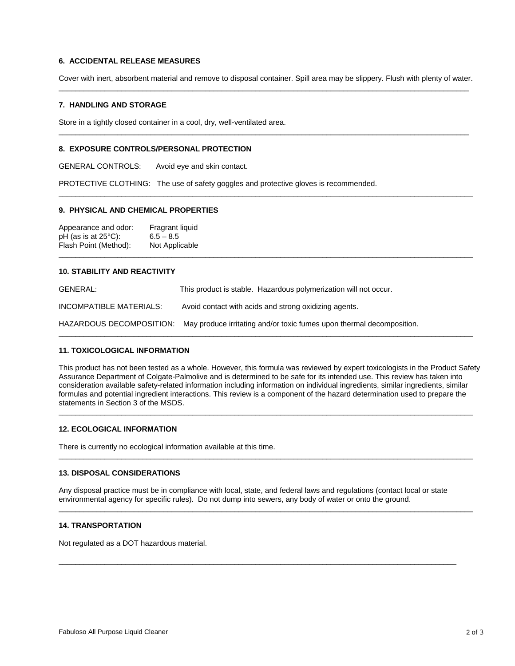# **6. ACCIDENTAL RELEASE MEASURES**

Cover with inert, absorbent material and remove to disposal container. Spill area may be slippery. Flush with plenty of water. \_\_\_\_\_\_\_\_\_\_\_\_\_\_\_\_\_\_\_\_\_\_\_\_\_\_\_\_\_\_\_\_\_\_\_\_\_\_\_\_\_\_\_\_\_\_\_\_\_\_\_\_\_\_\_\_\_\_\_\_\_\_\_\_\_\_\_\_\_\_\_\_\_\_\_\_\_\_\_\_\_\_\_\_\_\_\_\_\_\_\_\_\_\_\_\_\_\_

 $\overline{\phantom{a}}$  , and the set of the set of the set of the set of the set of the set of the set of the set of the set of the set of the set of the set of the set of the set of the set of the set of the set of the set of the s

 $\bot$  , and the state of the state of the state of the state of the state of the state of the state of the state of the state of the state of the state of the state of the state of the state of the state of the state of th

 $\bot$  , and the state of the state of the state of the state of the state of the state of the state of the state of the state of the state of the state of the state of the state of the state of the state of the state of th

# **7. HANDLING AND STORAGE**

Store in a tightly closed container in a cool, dry, well-ventilated area.

### **8. EXPOSURE CONTROLS/PERSONAL PROTECTION**

GENERAL CONTROLS: Avoid eye and skin contact.

PROTECTIVE CLOTHING: The use of safety goggles and protective gloves is recommended.

#### **9. PHYSICAL AND CHEMICAL PROPERTIES**

Appearance and odor: Fragrant liquid<br>pH (as is at  $25^{\circ}$ C): 6.5 - 8.5 pH (as is at 25°C): 6.5 – 8.5<br>Flash Point (Method): Not Applicable Flash Point (Method):

### **10. STABILITY AND REACTIVITY**

GENERAL: This product is stable. Hazardous polymerization will not occur. INCOMPATIBLE MATERIALS: Avoid contact with acids and strong oxidizing agents. HAZARDOUS DECOMPOSITION: May produce irritating and/or toxic fumes upon thermal decomposition.

### **11. TOXICOLOGICAL INFORMATION**

This product has not been tested as a whole. However, this formula was reviewed by expert toxicologists in the Product Safety Assurance Department of Colgate-Palmolive and is determined to be safe for its intended use. This review has taken into consideration available safety-related information including information on individual ingredients, similar ingredients, similar formulas and potential ingredient interactions. This review is a component of the hazard determination used to prepare the statements in Section 3 of the MSDS.

 $\bot$  , and the state of the state of the state of the state of the state of the state of the state of the state of the state of the state of the state of the state of the state of the state of the state of the state of th

 $\bot$  , and the state of the state of the state of the state of the state of the state of the state of the state of the state of the state of the state of the state of the state of the state of the state of the state of th

 $\overline{\phantom{a}}$  , and the contribution of the contribution of the contribution of the contribution of the contribution of the contribution of the contribution of the contribution of the contribution of the contribution of the

 $\bot$  , and the state of the state of the state of the state of the state of the state of the state of the state of the state of the state of the state of the state of the state of the state of the state of the state of th

# **12. ECOLOGICAL INFORMATION**

There is currently no ecological information available at this time.

#### **13. DISPOSAL CONSIDERATIONS**

Any disposal practice must be in compliance with local, state, and federal laws and regulations (contact local or state environmental agency for specific rules). Do not dump into sewers, any body of water or onto the ground.

 $\overline{a}$  , and the state of the state of the state of the state of the state of the state of the state of the state of the state of the state of the state of the state of the state of the state of the state of the state o

### **14. TRANSPORTATION**

Not regulated as a DOT hazardous material.